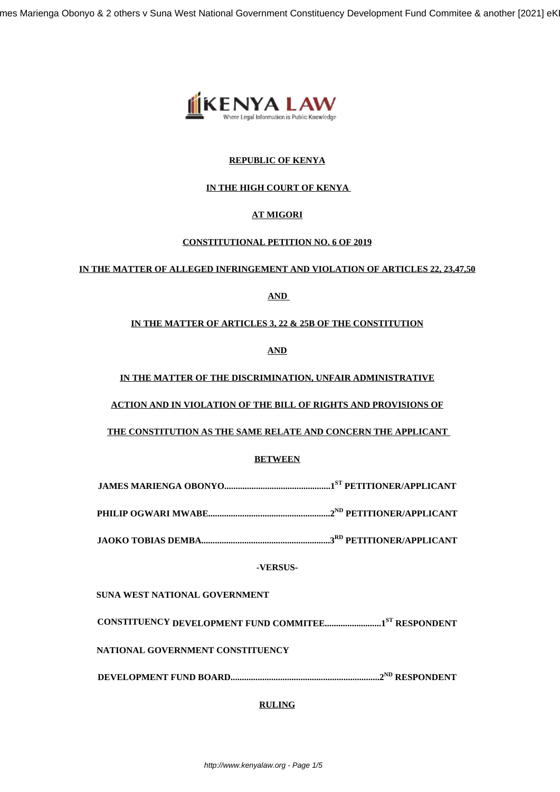mes Marienga Obonyo & 2 others v Suna West National Government Constituency Development Fund Commitee & another [2021] eK



## **REPUBLIC OF KENYA**

# **IN THE HIGH COURT OF KENYA**

# **AT MIGORI**

## **CONSTITUTIONAL PETITION NO. 6 OF 2019**

## **IN THE MATTER OF ALLEGED INFRINGEMENT AND VIOLATION OF ARTICLES 22, 23,47,50**

# **AND**

# **IN THE MATTER OF ARTICLES 3, 22 & 25B OF THE CONSTITUTION**

**AND**

## **IN THE MATTER OF THE DISCRIMINATION, UNFAIR ADMINISTRATIVE**

**ACTION AND IN VIOLATION OF THE BILL OF RIGHTS AND PROVISIONS OF**

**THE CONSTITUTION AS THE SAME RELATE AND CONCERN THE APPLICANT**

## **BETWEEN**

**JAMES MARIENGA OBONYO...............................................1ST PETITIONER/APPLICANT**

**PHILIP OGWARI MWABE......................................................2ND PETITIONER/APPLICANT**

**JAOKO TOBIAS DEMBA.........................................................3RD PETITIONER/APPLICANT**

**-VERSUS-**

**SUNA WEST NATIONAL GOVERNMENT** 

**CONSTITUENCY DEVELOPMENT FUND COMMITEE.........................1ST RESPONDENT**

**NATIONAL GOVERNMENT CONSTITUENCY**

**DEVELOPMENT FUND BOARD..................................................................2ND RESPONDENT**

# **RULING**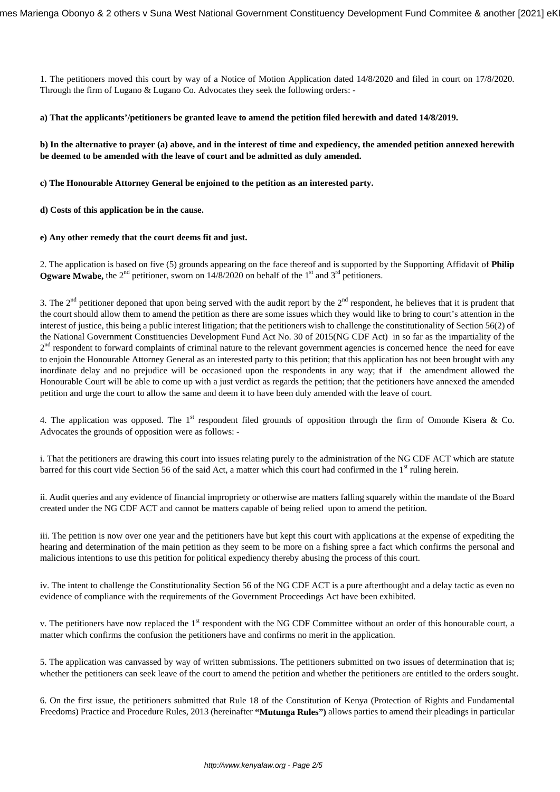1. The petitioners moved this court by way of a Notice of Motion Application dated 14/8/2020 and filed in court on 17/8/2020. Through the firm of Lugano & Lugano Co. Advocates they seek the following orders: -

### **a) That the applicants'/petitioners be granted leave to amend the petition filed herewith and dated 14/8/2019.**

**b) In the alternative to prayer (a) above, and in the interest of time and expediency, the amended petition annexed herewith be deemed to be amended with the leave of court and be admitted as duly amended.** 

**c) The Honourable Attorney General be enjoined to the petition as an interested party.** 

**d) Costs of this application be in the cause.** 

### **e) Any other remedy that the court deems fit and just.**

2. The application is based on five (5) grounds appearing on the face thereof and is supported by the Supporting Affidavit of **Philip Ogware Mwabe,** the  $2<sup>nd</sup>$  petitioner, sworn on  $14/8/2020$  on behalf of the 1<sup>st</sup> and  $3<sup>rd</sup>$  petitioners.

3. The  $2<sup>nd</sup>$  petitioner deponed that upon being served with the audit report by the  $2<sup>nd</sup>$  respondent, he believes that it is prudent that the court should allow them to amend the petition as there are some issues which they would like to bring to court's attention in the interest of justice, this being a public interest litigation; that the petitioners wish to challenge the constitutionality of Section 56(2) of the National Government Constituencies Development Fund Act No. 30 of 2015(NG CDF Act) in so far as the impartiality of the 2<sup>nd</sup> respondent to forward complaints of criminal nature to the relevant government agencies is concerned hence the need for eave to enjoin the Honourable Attorney General as an interested party to this petition; that this application has not been brought with any inordinate delay and no prejudice will be occasioned upon the respondents in any way; that if the amendment allowed the Honourable Court will be able to come up with a just verdict as regards the petition; that the petitioners have annexed the amended petition and urge the court to allow the same and deem it to have been duly amended with the leave of court.

4. The application was opposed. The 1<sup>st</sup> respondent filed grounds of opposition through the firm of Omonde Kisera & Co. Advocates the grounds of opposition were as follows: -

i. That the petitioners are drawing this court into issues relating purely to the administration of the NG CDF ACT which are statute barred for this court vide Section 56 of the said Act, a matter which this court had confirmed in the  $1<sup>st</sup>$  ruling herein.

ii. Audit queries and any evidence of financial impropriety or otherwise are matters falling squarely within the mandate of the Board created under the NG CDF ACT and cannot be matters capable of being relied upon to amend the petition.

iii. The petition is now over one year and the petitioners have but kept this court with applications at the expense of expediting the hearing and determination of the main petition as they seem to be more on a fishing spree a fact which confirms the personal and malicious intentions to use this petition for political expediency thereby abusing the process of this court.

iv. The intent to challenge the Constitutionality Section 56 of the NG CDF ACT is a pure afterthought and a delay tactic as even no evidence of compliance with the requirements of the Government Proceedings Act have been exhibited.

v. The petitioners have now replaced the 1<sup>st</sup> respondent with the NG CDF Committee without an order of this honourable court, a matter which confirms the confusion the petitioners have and confirms no merit in the application.

5. The application was canvassed by way of written submissions. The petitioners submitted on two issues of determination that is; whether the petitioners can seek leave of the court to amend the petition and whether the petitioners are entitled to the orders sought.

6. On the first issue, the petitioners submitted that Rule 18 of the Constitution of Kenya (Protection of Rights and Fundamental Freedoms) Practice and Procedure Rules, 2013 (hereinafter **"Mutunga Rules")** allows parties to amend their pleadings in particular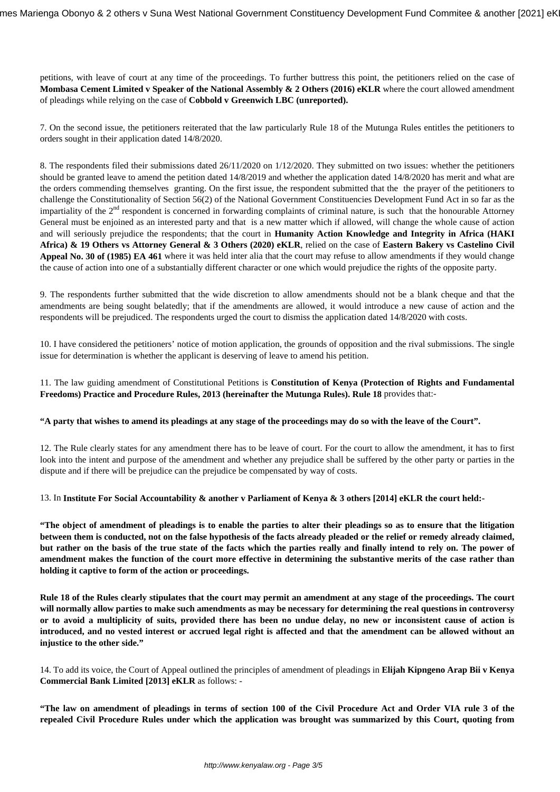petitions, with leave of court at any time of the proceedings. To further buttress this point, the petitioners relied on the case of **Mombasa Cement Limited v Speaker of the National Assembly & 2 Others (2016) eKLR** where the court allowed amendment of pleadings while relying on the case of **Cobbold v Greenwich LBC (unreported).**

7. On the second issue, the petitioners reiterated that the law particularly Rule 18 of the Mutunga Rules entitles the petitioners to orders sought in their application dated 14/8/2020.

8. The respondents filed their submissions dated 26/11/2020 on 1/12/2020. They submitted on two issues: whether the petitioners should be granted leave to amend the petition dated 14/8/2019 and whether the application dated 14/8/2020 has merit and what are the orders commending themselves granting. On the first issue, the respondent submitted that the the prayer of the petitioners to challenge the Constitutionality of Section 56(2) of the National Government Constituencies Development Fund Act in so far as the impartiality of the  $2<sup>nd</sup>$  respondent is concerned in forwarding complaints of criminal nature, is such that the honourable Attorney General must be enjoined as an interested party and that is a new matter which if allowed, will change the whole cause of action and will seriously prejudice the respondents; that the court in **Humanity Action Knowledge and Integrity in Africa (HAKI Africa) & 19 Others vs Attorney General & 3 Others (2020) eKLR**, relied on the case of **Eastern Bakery vs Castelino Civil Appeal No. 30 of (1985) EA 461** where it was held inter alia that the court may refuse to allow amendments if they would change the cause of action into one of a substantially different character or one which would prejudice the rights of the opposite party.

9. The respondents further submitted that the wide discretion to allow amendments should not be a blank cheque and that the amendments are being sought belatedly; that if the amendments are allowed, it would introduce a new cause of action and the respondents will be prejudiced. The respondents urged the court to dismiss the application dated 14/8/2020 with costs.

10. I have considered the petitioners' notice of motion application, the grounds of opposition and the rival submissions. The single issue for determination is whether the applicant is deserving of leave to amend his petition.

## 11. The law guiding amendment of Constitutional Petitions is **Constitution of Kenya (Protection of Rights and Fundamental Freedoms) Practice and Procedure Rules, 2013 (hereinafter the Mutunga Rules). Rule 18** provides that:-

## **"A party that wishes to amend its pleadings at any stage of the proceedings may do so with the leave of the Court".**

12. The Rule clearly states for any amendment there has to be leave of court. For the court to allow the amendment, it has to first look into the intent and purpose of the amendment and whether any prejudice shall be suffered by the other party or parties in the dispute and if there will be prejudice can the prejudice be compensated by way of costs.

13. In **Institute For Social Accountability & another v Parliament of Kenya & 3 others [2014] eKLR the court held:-**

**"The object of amendment of pleadings is to enable the parties to alter their pleadings so as to ensure that the litigation between them is conducted, not on the false hypothesis of the facts already pleaded or the relief or remedy already claimed, but rather on the basis of the true state of the facts which the parties really and finally intend to rely on. The power of amendment makes the function of the court more effective in determining the substantive merits of the case rather than holding it captive to form of the action or proceedings.**

**Rule 18 of the Rules clearly stipulates that the court may permit an amendment at any stage of the proceedings. The court will normally allow parties to make such amendments as may be necessary for determining the real questions in controversy or to avoid a multiplicity of suits, provided there has been no undue delay, no new or inconsistent cause of action is introduced, and no vested interest or accrued legal right is affected and that the amendment can be allowed without an injustice to the other side."**

14. To add its voice, the Court of Appeal outlined the principles of amendment of pleadings in **Elijah Kipngeno Arap Bii v Kenya Commercial Bank Limited [2013] eKLR** as follows: -

**"The law on amendment of pleadings in terms of section 100 of the Civil Procedure Act and Order VIA rule 3 of the repealed Civil Procedure Rules under which the application was brought was summarized by this Court, quoting from**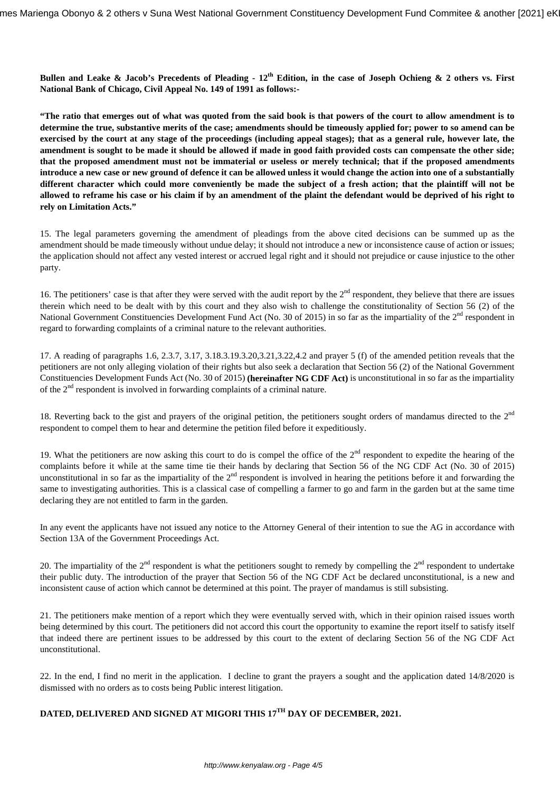**Bullen and Leake & Jacob's Precedents of Pleading - 12th Edition, in the case of Joseph Ochieng & 2 others vs. First National Bank of Chicago, Civil Appeal No. 149 of 1991 as follows:-**

**"The ratio that emerges out of what was quoted from the said book is that powers of the court to allow amendment is to determine the true, substantive merits of the case; amendments should be timeously applied for; power to so amend can be exercised by the court at any stage of the proceedings (including appeal stages); that as a general rule, however late, the amendment is sought to be made it should be allowed if made in good faith provided costs can compensate the other side; that the proposed amendment must not be immaterial or useless or merely technical; that if the proposed amendments introduce a new case or new ground of defence it can be allowed unless it would change the action into one of a substantially different character which could more conveniently be made the subject of a fresh action; that the plaintiff will not be allowed to reframe his case or his claim if by an amendment of the plaint the defendant would be deprived of his right to rely on Limitation Acts."**

15. The legal parameters governing the amendment of pleadings from the above cited decisions can be summed up as the amendment should be made timeously without undue delay; it should not introduce a new or inconsistence cause of action or issues; the application should not affect any vested interest or accrued legal right and it should not prejudice or cause injustice to the other party.

16. The petitioners' case is that after they were served with the audit report by the  $2<sup>nd</sup>$  respondent, they believe that there are issues therein which need to be dealt with by this court and they also wish to challenge the constitutionality of Section 56 (2) of the National Government Constituencies Development Fund Act (No. 30 of 2015) in so far as the impartiality of the 2<sup>nd</sup> respondent in regard to forwarding complaints of a criminal nature to the relevant authorities.

17. A reading of paragraphs 1.6, 2.3.7, 3.17, 3.18.3.19.3.20,3.21,3.22,4.2 and prayer 5 (f) of the amended petition reveals that the petitioners are not only alleging violation of their rights but also seek a declaration that Section 56 (2) of the National Government Constituencies Development Funds Act (No. 30 of 2015) **(hereinafter NG CDF Act)** is unconstitutional in so far as the impartiality of the  $2<sup>nd</sup>$  respondent is involved in forwarding complaints of a criminal nature.

18. Reverting back to the gist and prayers of the original petition, the petitioners sought orders of mandamus directed to the  $2<sup>nd</sup>$ respondent to compel them to hear and determine the petition filed before it expeditiously.

19. What the petitioners are now asking this court to do is compel the office of the  $2<sup>nd</sup>$  respondent to expedite the hearing of the complaints before it while at the same time tie their hands by declaring that Section 56 of the NG CDF Act (No. 30 of 2015) unconstitutional in so far as the impartiality of the  $2<sup>nd</sup>$  respondent is involved in hearing the petitions before it and forwarding the same to investigating authorities. This is a classical case of compelling a farmer to go and farm in the garden but at the same time declaring they are not entitled to farm in the garden.

In any event the applicants have not issued any notice to the Attorney General of their intention to sue the AG in accordance with Section 13A of the Government Proceedings Act.

20. The impartiality of the  $2^{nd}$  respondent is what the petitioners sought to remedy by compelling the  $2^{nd}$  respondent to undertake their public duty. The introduction of the prayer that Section 56 of the NG CDF Act be declared unconstitutional, is a new and inconsistent cause of action which cannot be determined at this point. The prayer of mandamus is still subsisting.

21. The petitioners make mention of a report which they were eventually served with, which in their opinion raised issues worth being determined by this court. The petitioners did not accord this court the opportunity to examine the report itself to satisfy itself that indeed there are pertinent issues to be addressed by this court to the extent of declaring Section 56 of the NG CDF Act unconstitutional.

22. In the end, I find no merit in the application. I decline to grant the prayers a sought and the application dated 14/8/2020 is dismissed with no orders as to costs being Public interest litigation.

# **DATED, DELIVERED AND SIGNED AT MIGORI THIS 17TH DAY OF DECEMBER, 2021.**